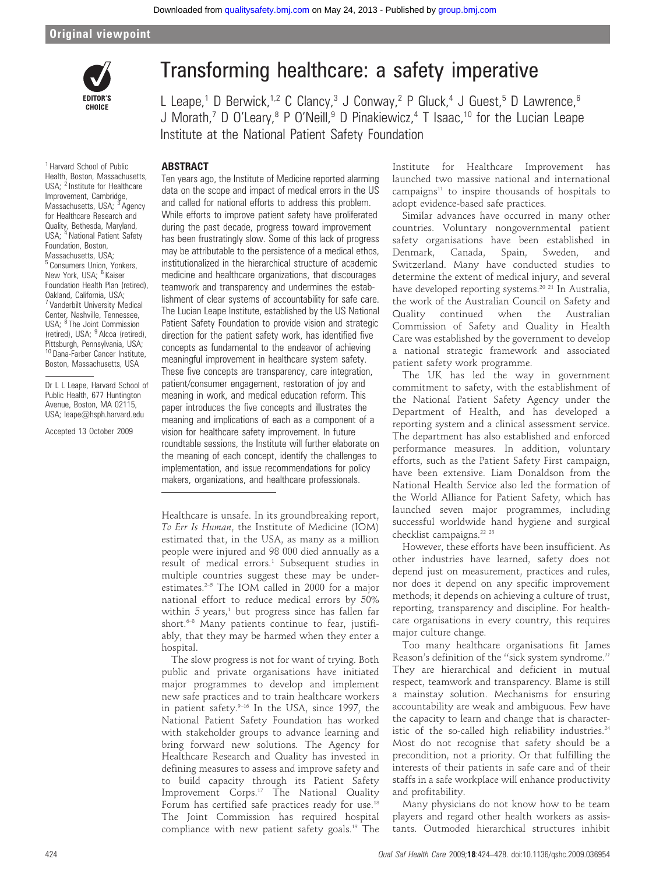# Original viewpoint



<sup>1</sup> Harvard School of Public Health, Boston, Massachusetts, USA; <sup>2</sup> Institute for Healthcare Improvement, Cambridge, Massachusetts, USA; <sup>3</sup> Agency for Healthcare Research and Quality, Bethesda, Maryland, USA; <sup>4</sup> National Patient Safety Foundation, Boston, Massachusetts, USA; <sup>5</sup> Consumers Union, Yonkers, New York, USA; <sup>6</sup> Kaiser Foundation Health Plan (retired), Oakland, California, USA; <sup>7</sup> Vanderbilt University Medical Center, Nashville, Tennessee, USA; <sup>8</sup>The Joint Commission (retired), USA; <sup>9</sup> Alcoa (retired), Pittsburgh, Pennsylvania, USA; 10 Dana-Farber Cancer Institute, Boston, Massachusetts, USA

Dr L L Leape, Harvard School of Public Health, 677 Huntington Avenue, Boston, MA 02115, USA; leape@hsph.harvard.edu

Accepted 13 October 2009

# Transforming healthcare: a safety imperative

L Leape,<sup>1</sup> D Berwick,<sup>1,2</sup> C Clancy,<sup>3</sup> J Conway,<sup>2</sup> P Gluck,<sup>4</sup> J Guest,<sup>5</sup> D Lawrence,<sup>6</sup> J Morath,<sup>7</sup> D O'Leary,<sup>8</sup> P O'Neill,<sup>9</sup> D Pinakiewicz,<sup>4</sup> T Isaac,<sup>10</sup> for the Lucian Leape Institute at the National Patient Safety Foundation

#### ABSTRACT

Ten years ago, the Institute of Medicine reported alarming data on the scope and impact of medical errors in the US and called for national efforts to address this problem. While efforts to improve patient safety have proliferated during the past decade, progress toward improvement has been frustratingly slow. Some of this lack of progress may be attributable to the persistence of a medical ethos, institutionalized in the hierarchical structure of academic medicine and healthcare organizations, that discourages teamwork and transparency and undermines the establishment of clear systems of accountability for safe care. The Lucian Leape Institute, established by the US National Patient Safety Foundation to provide vision and strategic direction for the patient safety work, has identified five concepts as fundamental to the endeavor of achieving meaningful improvement in healthcare system safety. These five concepts are transparency, care integration, patient/consumer engagement, restoration of joy and meaning in work, and medical education reform. This paper introduces the five concepts and illustrates the meaning and implications of each as a component of a vision for healthcare safety improvement. In future roundtable sessions, the Institute will further elaborate on the meaning of each concept, identify the challenges to implementation, and issue recommendations for policy makers, organizations, and healthcare professionals.

Healthcare is unsafe. In its groundbreaking report, To Err Is Human, the Institute of Medicine (IOM) estimated that, in the USA, as many as a million people were injured and 98 000 died annually as a result of medical errors.<sup>1</sup> Subsequent studies in multiple countries suggest these may be underestimates.2–5 The IOM called in 2000 for a major national effort to reduce medical errors by 50% within  $5$  years, $1$  but progress since has fallen far short.<sup>6-8</sup> Many patients continue to fear, justifiably, that they may be harmed when they enter a hospital.

The slow progress is not for want of trying. Both public and private organisations have initiated major programmes to develop and implement new safe practices and to train healthcare workers in patient safety.<sup>9-16</sup> In the USA, since 1997, the National Patient Safety Foundation has worked with stakeholder groups to advance learning and bring forward new solutions. The Agency for Healthcare Research and Quality has invested in defining measures to assess and improve safety and to build capacity through its Patient Safety Improvement Corps.17 The National Quality Forum has certified safe practices ready for use.<sup>18</sup> The Joint Commission has required hospital compliance with new patient safety goals.<sup>19</sup> The Institute for Healthcare Improvement has launched two massive national and international campaigns $11$  to inspire thousands of hospitals to adopt evidence-based safe practices.

Similar advances have occurred in many other countries. Voluntary nongovernmental patient safety organisations have been established in Denmark, Canada, Spain, Sweden, and Switzerland. Many have conducted studies to determine the extent of medical injury, and several have developed reporting systems.<sup>20</sup><sup>21</sup> In Australia, the work of the Australian Council on Safety and Quality continued when the Australian Commission of Safety and Quality in Health Care was established by the government to develop a national strategic framework and associated patient safety work programme.

The UK has led the way in government commitment to safety, with the establishment of the National Patient Safety Agency under the Department of Health, and has developed a reporting system and a clinical assessment service. The department has also established and enforced performance measures. In addition, voluntary efforts, such as the Patient Safety First campaign, have been extensive. Liam Donaldson from the National Health Service also led the formation of the World Alliance for Patient Safety, which has launched seven major programmes, including successful worldwide hand hygiene and surgical checklist campaigns.<sup>22</sup> <sup>23</sup>

However, these efforts have been insufficient. As other industries have learned, safety does not depend just on measurement, practices and rules, nor does it depend on any specific improvement methods; it depends on achieving a culture of trust, reporting, transparency and discipline. For healthcare organisations in every country, this requires major culture change.

Too many healthcare organisations fit James Reason's definition of the ''sick system syndrome.'' They are hierarchical and deficient in mutual respect, teamwork and transparency. Blame is still a mainstay solution. Mechanisms for ensuring accountability are weak and ambiguous. Few have the capacity to learn and change that is characteristic of the so-called high reliability industries.<sup>24</sup> Most do not recognise that safety should be a precondition, not a priority. Or that fulfilling the interests of their patients in safe care and of their staffs in a safe workplace will enhance productivity and profitability.

Many physicians do not know how to be team players and regard other health workers as assistants. Outmoded hierarchical structures inhibit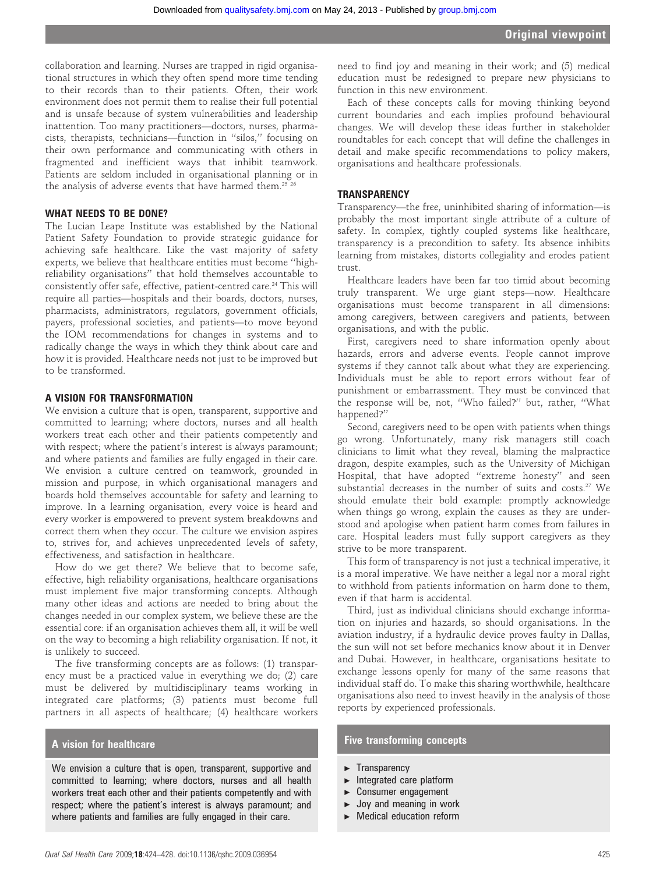collaboration and learning. Nurses are trapped in rigid organisational structures in which they often spend more time tending to their records than to their patients. Often, their work environment does not permit them to realise their full potential and is unsafe because of system vulnerabilities and leadership inattention. Too many practitioners—doctors, nurses, pharmacists, therapists, technicians—function in ''silos,'' focusing on their own performance and communicating with others in fragmented and inefficient ways that inhibit teamwork. Patients are seldom included in organisational planning or in the analysis of adverse events that have harmed them.<sup>25</sup><sup>2</sup>

# WHAT NEEDS TO BE DONE?

The Lucian Leape Institute was established by the National Patient Safety Foundation to provide strategic guidance for achieving safe healthcare. Like the vast majority of safety experts, we believe that healthcare entities must become ''highreliability organisations'' that hold themselves accountable to consistently offer safe, effective, patient-centred care.<sup>24</sup> This will require all parties—hospitals and their boards, doctors, nurses, pharmacists, administrators, regulators, government officials, payers, professional societies, and patients—to move beyond the IOM recommendations for changes in systems and to radically change the ways in which they think about care and how it is provided. Healthcare needs not just to be improved but to be transformed.

#### A VISION FOR TRANSFORMATION

We envision a culture that is open, transparent, supportive and committed to learning; where doctors, nurses and all health workers treat each other and their patients competently and with respect; where the patient's interest is always paramount; and where patients and families are fully engaged in their care. We envision a culture centred on teamwork, grounded in mission and purpose, in which organisational managers and boards hold themselves accountable for safety and learning to improve. In a learning organisation, every voice is heard and every worker is empowered to prevent system breakdowns and correct them when they occur. The culture we envision aspires to, strives for, and achieves unprecedented levels of safety, effectiveness, and satisfaction in healthcare.

How do we get there? We believe that to become safe, effective, high reliability organisations, healthcare organisations must implement five major transforming concepts. Although many other ideas and actions are needed to bring about the changes needed in our complex system, we believe these are the essential core: if an organisation achieves them all, it will be well on the way to becoming a high reliability organisation. If not, it is unlikely to succeed.

The five transforming concepts are as follows: (1) transparency must be a practiced value in everything we do; (2) care must be delivered by multidisciplinary teams working in integrated care platforms; (3) patients must become full partners in all aspects of healthcare; (4) healthcare workers

# A vision for healthcare

We envision a culture that is open, transparent, supportive and committed to learning; where doctors, nurses and all health workers treat each other and their patients competently and with respect; where the patient's interest is always paramount; and where patients and families are fully engaged in their care.

need to find joy and meaning in their work; and (5) medical education must be redesigned to prepare new physicians to function in this new environment.

Each of these concepts calls for moving thinking beyond current boundaries and each implies profound behavioural changes. We will develop these ideas further in stakeholder roundtables for each concept that will define the challenges in detail and make specific recommendations to policy makers, organisations and healthcare professionals.

## **TRANSPARENCY**

Transparency—the free, uninhibited sharing of information—is probably the most important single attribute of a culture of safety. In complex, tightly coupled systems like healthcare, transparency is a precondition to safety. Its absence inhibits learning from mistakes, distorts collegiality and erodes patient trust.

Healthcare leaders have been far too timid about becoming truly transparent. We urge giant steps—now. Healthcare organisations must become transparent in all dimensions: among caregivers, between caregivers and patients, between organisations, and with the public.

First, caregivers need to share information openly about hazards, errors and adverse events. People cannot improve systems if they cannot talk about what they are experiencing. Individuals must be able to report errors without fear of punishment or embarrassment. They must be convinced that the response will be, not, ''Who failed?'' but, rather, ''What happened?''

Second, caregivers need to be open with patients when things go wrong. Unfortunately, many risk managers still coach clinicians to limit what they reveal, blaming the malpractice dragon, despite examples, such as the University of Michigan Hospital, that have adopted ''extreme honesty'' and seen substantial decreases in the number of suits and costs.<sup>27</sup> We should emulate their bold example: promptly acknowledge when things go wrong, explain the causes as they are understood and apologise when patient harm comes from failures in care. Hospital leaders must fully support caregivers as they strive to be more transparent.

This form of transparency is not just a technical imperative, it is a moral imperative. We have neither a legal nor a moral right to withhold from patients information on harm done to them, even if that harm is accidental.

Third, just as individual clinicians should exchange information on injuries and hazards, so should organisations. In the aviation industry, if a hydraulic device proves faulty in Dallas, the sun will not set before mechanics know about it in Denver and Dubai. However, in healthcare, organisations hesitate to exchange lessons openly for many of the same reasons that individual staff do. To make this sharing worthwhile, healthcare organisations also need to invest heavily in the analysis of those reports by experienced professionals.

# Five transforming concepts

- $\blacktriangleright$  Transparency
- $\blacktriangleright$  Integrated care platform
- **EX Consumer engagement**
- $\triangleright$  Joy and meaning in work
- Medical education reform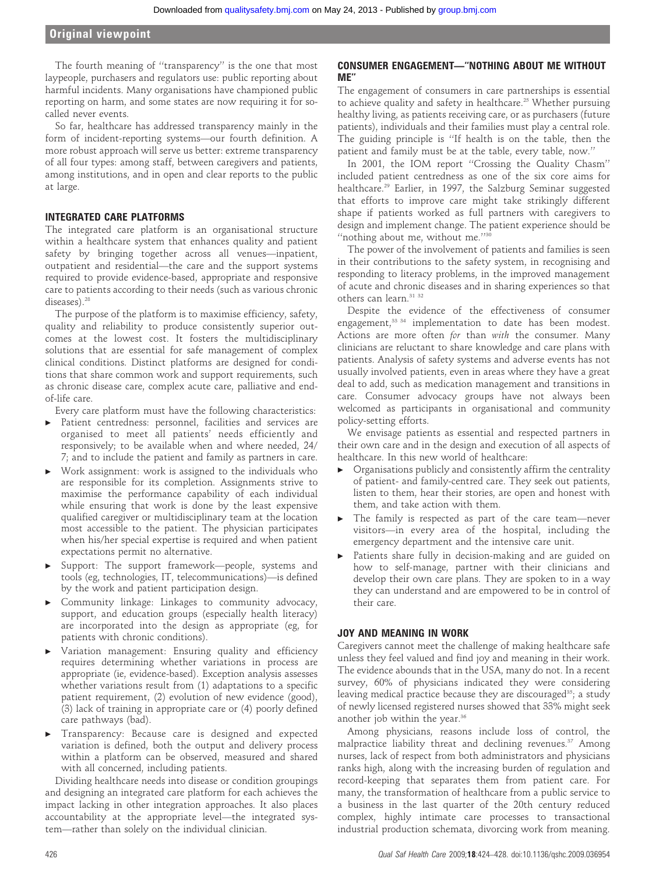# Original viewpoint

The fourth meaning of ''transparency'' is the one that most laypeople, purchasers and regulators use: public reporting about harmful incidents. Many organisations have championed public reporting on harm, and some states are now requiring it for socalled never events.

So far, healthcare has addressed transparency mainly in the form of incident-reporting systems—our fourth definition. A more robust approach will serve us better: extreme transparency of all four types: among staff, between caregivers and patients, among institutions, and in open and clear reports to the public at large.

#### INTEGRATED CARE PLATFORMS

The integrated care platform is an organisational structure within a healthcare system that enhances quality and patient safety by bringing together across all venues—inpatient, outpatient and residential—the care and the support systems required to provide evidence-based, appropriate and responsive care to patients according to their needs (such as various chronic diseases).<sup>28</sup>

The purpose of the platform is to maximise efficiency, safety, quality and reliability to produce consistently superior outcomes at the lowest cost. It fosters the multidisciplinary solutions that are essential for safe management of complex clinical conditions. Distinct platforms are designed for conditions that share common work and support requirements, such as chronic disease care, complex acute care, palliative and endof-life care.

Every care platform must have the following characteristics:

- $\blacktriangleright$  Patient centredness: personnel, facilities and services are organised to meet all patients' needs efficiently and responsively; to be available when and where needed, 24/ 7; and to include the patient and family as partners in care.
- $\triangleright$  Work assignment: work is assigned to the individuals who are responsible for its completion. Assignments strive to maximise the performance capability of each individual while ensuring that work is done by the least expensive qualified caregiver or multidisciplinary team at the location most accessible to the patient. The physician participates when his/her special expertise is required and when patient expectations permit no alternative.
- $\triangleright$  Support: The support framework—people, systems and tools (eg, technologies, IT, telecommunications)—is defined by the work and patient participation design.
- Community linkage: Linkages to community advocacy, support, and education groups (especially health literacy) are incorporated into the design as appropriate (eg, for patients with chronic conditions).
- Variation management: Ensuring quality and efficiency requires determining whether variations in process are appropriate (ie, evidence-based). Exception analysis assesses whether variations result from (1) adaptations to a specific patient requirement, (2) evolution of new evidence (good), (3) lack of training in appropriate care or (4) poorly defined care pathways (bad).
- Transparency: Because care is designed and expected variation is defined, both the output and delivery process within a platform can be observed, measured and shared with all concerned, including patients.

Dividing healthcare needs into disease or condition groupings and designing an integrated care platform for each achieves the impact lacking in other integration approaches. It also places accountability at the appropriate level—the integrated system—rather than solely on the individual clinician.

#### CONSUMER ENGAGEMENT—''NOTHING ABOUT ME WITHOUT ME''

The engagement of consumers in care partnerships is essential to achieve quality and safety in healthcare.<sup>25</sup> Whether pursuing healthy living, as patients receiving care, or as purchasers (future patients), individuals and their families must play a central role. The guiding principle is ''If health is on the table, then the patient and family must be at the table, every table, now.''

In 2001, the IOM report "Crossing the Quality Chasm" included patient centredness as one of the six core aims for healthcare.29 Earlier, in 1997, the Salzburg Seminar suggested that efforts to improve care might take strikingly different shape if patients worked as full partners with caregivers to design and implement change. The patient experience should be "nothing about me, without me."30

The power of the involvement of patients and families is seen in their contributions to the safety system, in recognising and responding to literacy problems, in the improved management of acute and chronic diseases and in sharing experiences so that others can learn.<sup>31 32</sup>

Despite the evidence of the effectiveness of consumer engagement,<sup>33 34</sup> implementation to date has been modest. Actions are more often for than with the consumer. Many clinicians are reluctant to share knowledge and care plans with patients. Analysis of safety systems and adverse events has not usually involved patients, even in areas where they have a great deal to add, such as medication management and transitions in care. Consumer advocacy groups have not always been welcomed as participants in organisational and community policy-setting efforts.

We envisage patients as essential and respected partners in their own care and in the design and execution of all aspects of healthcare. In this new world of healthcare:

- $\triangleright$  Organisations publicly and consistently affirm the centrality of patient- and family-centred care. They seek out patients, listen to them, hear their stories, are open and honest with them, and take action with them.
- ▶ The family is respected as part of the care team—never visitors—in every area of the hospital, including the emergency department and the intensive care unit.
- Patients share fully in decision-making and are guided on how to self-manage, partner with their clinicians and develop their own care plans. They are spoken to in a way they can understand and are empowered to be in control of their care.

# JOY AND MEANING IN WORK

Caregivers cannot meet the challenge of making healthcare safe unless they feel valued and find joy and meaning in their work. The evidence abounds that in the USA, many do not. In a recent survey, 60% of physicians indicated they were considering leaving medical practice because they are discouraged<sup>35</sup>; a study of newly licensed registered nurses showed that 33% might seek another job within the year.<sup>36</sup>

Among physicians, reasons include loss of control, the malpractice liability threat and declining revenues.<sup>37</sup> Among nurses, lack of respect from both administrators and physicians ranks high, along with the increasing burden of regulation and record-keeping that separates them from patient care. For many, the transformation of healthcare from a public service to a business in the last quarter of the 20th century reduced complex, highly intimate care processes to transactional industrial production schemata, divorcing work from meaning.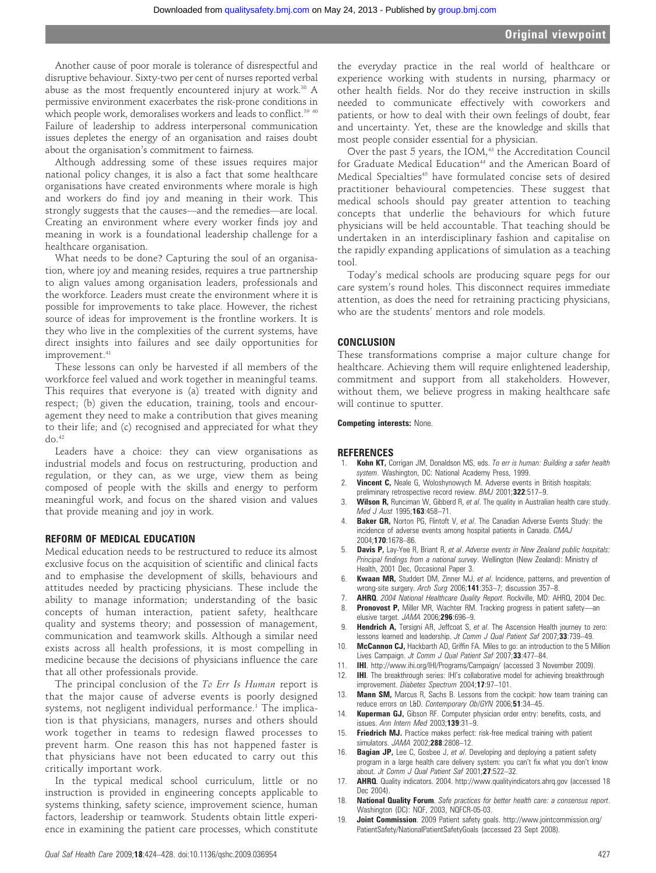Another cause of poor morale is tolerance of disrespectful and disruptive behaviour. Sixty-two per cent of nurses reported verbal abuse as the most frequently encountered injury at work.<sup>38</sup> A permissive environment exacerbates the risk-prone conditions in which people work, demoralises workers and leads to conflict.<sup>39 40</sup> Failure of leadership to address interpersonal communication issues depletes the energy of an organisation and raises doubt about the organisation's commitment to fairness.

Although addressing some of these issues requires major national policy changes, it is also a fact that some healthcare organisations have created environments where morale is high and workers do find joy and meaning in their work. This strongly suggests that the causes—and the remedies—are local. Creating an environment where every worker finds joy and meaning in work is a foundational leadership challenge for a healthcare organisation.

What needs to be done? Capturing the soul of an organisation, where joy and meaning resides, requires a true partnership to align values among organisation leaders, professionals and the workforce. Leaders must create the environment where it is possible for improvements to take place. However, the richest source of ideas for improvement is the frontline workers. It is they who live in the complexities of the current systems, have direct insights into failures and see daily opportunities for improvement.<sup>41</sup>

These lessons can only be harvested if all members of the workforce feel valued and work together in meaningful teams. This requires that everyone is (a) treated with dignity and respect; (b) given the education, training, tools and encouragement they need to make a contribution that gives meaning to their life; and (c) recognised and appreciated for what they  $d\rho$ .<sup>42</sup>

Leaders have a choice: they can view organisations as industrial models and focus on restructuring, production and regulation, or they can, as we urge, view them as being composed of people with the skills and energy to perform meaningful work, and focus on the shared vision and values that provide meaning and joy in work.

#### REFORM OF MEDICAL EDUCATION

Medical education needs to be restructured to reduce its almost exclusive focus on the acquisition of scientific and clinical facts and to emphasise the development of skills, behaviours and attitudes needed by practicing physicians. These include the ability to manage information; understanding of the basic concepts of human interaction, patient safety, healthcare quality and systems theory; and possession of management, communication and teamwork skills. Although a similar need exists across all health professions, it is most compelling in medicine because the decisions of physicians influence the care that all other professionals provide.

The principal conclusion of the To Err Is Human report is that the major cause of adverse events is poorly designed systems, not negligent individual performance.1 The implication is that physicians, managers, nurses and others should work together in teams to redesign flawed processes to prevent harm. One reason this has not happened faster is that physicians have not been educated to carry out this critically important work.

In the typical medical school curriculum, little or no instruction is provided in engineering concepts applicable to systems thinking, safety science, improvement science, human factors, leadership or teamwork. Students obtain little experience in examining the patient care processes, which constitute

Qual Saf Health Care 2009;18:424–428. doi:10.1136/qshc.2009.036954 427

the everyday practice in the real world of healthcare or experience working with students in nursing, pharmacy or other health fields. Nor do they receive instruction in skills needed to communicate effectively with coworkers and patients, or how to deal with their own feelings of doubt, fear and uncertainty. Yet, these are the knowledge and skills that most people consider essential for a physician.

Over the past 5 years, the IOM,<sup>43</sup> the Accreditation Council for Graduate Medical Education<sup>44</sup> and the American Board of Medical Specialties<sup>45</sup> have formulated concise sets of desired practitioner behavioural competencies. These suggest that medical schools should pay greater attention to teaching concepts that underlie the behaviours for which future physicians will be held accountable. That teaching should be undertaken in an interdisciplinary fashion and capitalise on the rapidly expanding applications of simulation as a teaching tool.

Today's medical schools are producing square pegs for our care system's round holes. This disconnect requires immediate attention, as does the need for retraining practicing physicians, who are the students' mentors and role models.

#### **CONCLUSION**

These transformations comprise a major culture change for healthcare. Achieving them will require enlightened leadership, commitment and support from all stakeholders. However, without them, we believe progress in making healthcare safe will continue to sputter.

#### Competing interests: None.

#### **REFERENCES**

- Kohn KT, Corrigan JM, Donaldson MS, eds. To err is human: Building a safer health system. Washington, DC: National Academy Press, 1999.
- Vincent C, Neale G, Woloshynowych M. Adverse events in British hospitals: preliminary retrospective record review. BMJ 2001;322:517-9.
- 3. Wilson R, Runciman W, Gibberd R, et al. The quality in Australian health care study. Med J Aust 1995;163:458-71.
- 4. **Baker GR,** Norton PG, Flintoft V, et al. The Canadian Adverse Events Study: the incidence of adverse events among hospital patients in Canada. CMAJ 2004;170:1678–86.
- Davis P, Lay-Yee R, Briant R, et al. Adverse events in New Zealand public hospitals: Principal findings from a national survey. Wellington (New Zealand): Ministry of Health, 2001 Dec, Occasional Paper 3.
- Kwaan MR, Studdert DM, Zinner MJ, et al. Incidence, patterns, and prevention of wrong-site surgery. Arch Surg 2006;141:353–7; discussion 357–8.
- 7. **AHRQ.** 2004 National Healthcare Quality Report. Rockville, MD: AHRQ, 2004 Dec. 8. Pronovost P, Miller MR, Wachter RM. Tracking progress in patient safety-an
- elusive target. JAMA 2006;296:696–9. 9. **Hendrich A,** Tersigni AR, Jeffcoat S, et al. The Ascension Health journey to zero:
- lessons learned and leadership. Jt Comm J Qual Patient Saf 2007;33:739-49.
- 10. McCannon CJ, Hackbarth AD, Griffin FA. Miles to go: an introduction to the 5 Million Lives Campaign. Jt Comm J Qual Patient Saf 2007;33:477-84.
- 11. IHI. http://www.ihi.org/IHI/Programs/Campaign/ (accessed 3 November 2009).
- 12. **IHI.** The breakthrough series: IHI's collaborative model for achieving breakthrough improvement. Diabetes Spectrum 2004;17:97–101.
- 13. Mann SM, Marcus R, Sachs B. Lessons from the cockpit: how team training can reduce errors on L&D. Contemporary Ob/GYN 2006;51:34-45.
- 14. Kuperman GJ, Gibson RF. Computer physician order entry: benefits, costs, and issues. Ann Intern Med 2003;139:31–9.
- 15. Friedrich MJ. Practice makes perfect: risk-free medical training with patient simulators. JAMA 2002;288:2808–12.
- 16. **Bagian JP,** Lee C, Gosbee J, et al. Developing and deploying a patient safety program in a large health care delivery system: you can't fix what you don't know about. Jt Comm J Qual Patient Saf 2001;27:522–32.
- 17. AHRQ. Quality indicators. 2004. http://www.qualityindicators.ahrq.gov (accessed 18 Dec 2004).
- 18. National Quality Forum. Safe practices for better health care: a consensus report. Washington (DC): NQF, 2003, NQFCR-05-03.
- 19. Joint Commission. 2009 Patient safety goals. http://www.jointcommission.org/ PatientSafety/NationalPatientSafetyGoals (accessed 23 Sept 2008).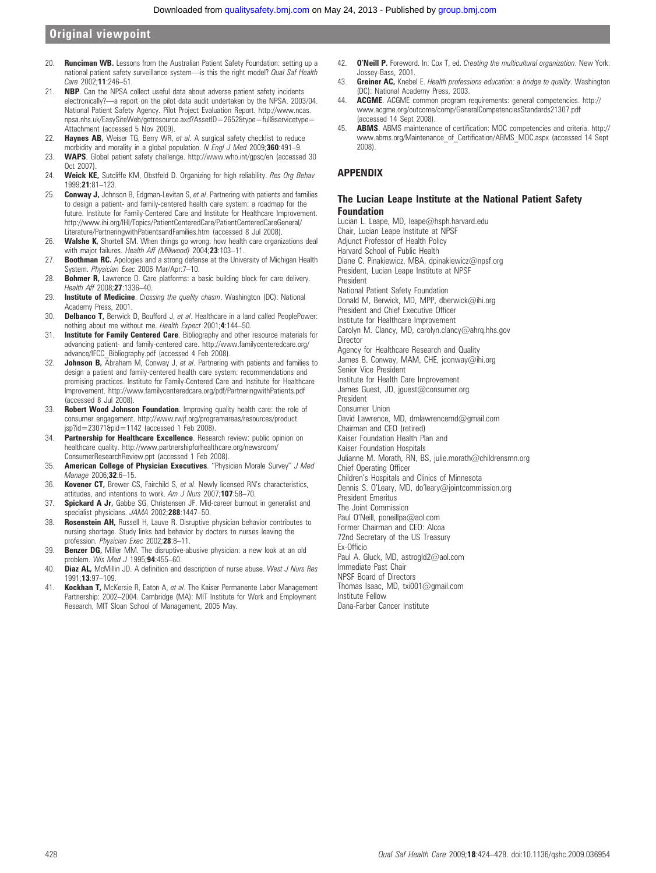# Original viewpoint

- 20. Runciman WB. Lessons from the Australian Patient Safety Foundation: setting up a national patient safety surveillance system—is this the right model? Qual Saf Health Care 2002;11:246–51.
- 21. **NBP**. Can the NPSA collect useful data about adverse patient safety incidents electronically?—a report on the pilot data audit undertaken by the NPSA. 2003/04. National Patient Safety Agency. Pilot Project Evaluation Report. http://www.ncas. npsa.nhs.uk/EasySiteWeb/getresource.axd?AssetID=2652&type=full&servicetype= Attachment (accessed 5 Nov 2009).
- 22. Haynes AB, Weiser TG, Berry WR, et al. A surgical safety checklist to reduce morbidity and morality in a global population. N Engl J Med 2009;360:491-9. 23. WAPS. Global patient safety challenge. http://www.who.int/gpsc/en (accessed 30
- Oct 2007). 24. Weick KE, Sutcliffe KM, Obstfeld D. Organizing for high reliability. Res Org Behav
- 1999;21:81–123. 25. **Conway J,** Johnson B, Edgman-Levitan S, et al. Partnering with patients and families
- to design a patient- and family-centered health care system: a roadmap for the future. Institute for Family-Centered Care and Institute for Healthcare Improvement. http://www.ihi.org/IHI/Topics/PatientCenteredCare/PatientCenteredCareGeneral/ Literature/PartneringwithPatientsandFamilies.htm (accessed 8 Jul 2008).
- 26. Walshe K, Shortell SM. When things go wrong: how health care organizations deal with major failures. Health Aff (Millwood) 2004;23:103-11.
- 27. Boothman RC. Apologies and a strong defense at the University of Michigan Health System. Physician Exec 2006 Mar/Apr:7–10.
- 28. Bohmer R, Lawrence D. Care platforms: a basic building block for care delivery. Health Aff 2008;27:1336-40.
- 29. Institute of Medicine. Crossing the quality chasm. Washington (DC): National Academy Press, 2001.
- 30. Delbanco T, Berwick D, Boufford J, et al. Healthcare in a land called PeoplePower: nothing about me without me. Health Expect 2001;4:144–50.
- 31. Institute for Family Centered Care. Bibliography and other resource materials for advancing patient- and family-centered care. http://www.familycenteredcare.org/ advance/IFCC\_Bibliography.pdf (accessed 4 Feb 2008).
- 32. **Johnson B,** Abraham M, Conway J, et al. Partnering with patients and families to design a patient and family-centered health care system: recommendations and promising practices. Institute for Family-Centered Care and Institute for Healthcare Improvement. http://www.familycenteredcare.org/pdf/PartneringwithPatients.pdf (accessed 8 Jul 2008).
- 33. Robert Wood Johnson Foundation. Improving quality health care: the role of consumer engagement. http://www.rwjf.org/programareas/resources/product.  $jsp?id = 230716pid = 1142$  (accessed 1 Feb 2008).
- 34. Partnership for Healthcare Excellence. Research review: public opinion on healthcare quality. http://www.partnershipforhealthcare.org/newsroom/ ConsumerResearchReview.ppt (accessed 1 Feb 2008).
- 35. American College of Physician Executives. "Physician Morale Survey" J Med Manage 2006;32:6-15.
- 36. Kovener CT, Brewer CS, Fairchild S, et al. Newly licensed RN's characteristics, attitudes, and intentions to work. Am J Nurs 2007;107:58-70.
- 37. **Spickard A Jr,** Gabbe SG, Christensen JF. Mid-career burnout in generalist and specialist physicians. JAMA 2002;288:1447–50.
- 38. Rosenstein AH, Russell H, Lauve R. Disruptive physician behavior contributes to nursing shortage. Study links bad behavior by doctors to nurses leaving the profession. Physician Exec 2002;28:8–11.
- 39. **Benzer DG,** Miller MM. The disruptive-abusive physician: a new look at an old problem. Wis Med J 1995;94:455–60.
- 40. Diaz AL, McMillin JD. A definition and description of nurse abuse. West J Nurs Res 1991;13:97–109.
- 41. Kockhan T, McKersie R, Eaton A, et al. The Kaiser Permanente Labor Management Partnership: 2002–2004. Cambridge (MA): MIT Institute for Work and Employment Research, MIT Sloan School of Management, 2005 May.
- 42. **O'Neill P.** Foreword. In: Cox T, ed. Creating the multicultural organization. New York: Jossey-Bass, 2001.
- 43. Greiner AC, Knebel E. Health professions education: a bridge to quality. Washington (DC): National Academy Press, 2003.
- 44. **ACGME**. ACGME common program requirements: general competencies. http:// www.acgme.org/outcome/comp/GeneralCompetenciesStandards21307.pdf (accessed 14 Sept 2008).
- 45. ABMS. ABMS maintenance of certification: MOC competencies and criteria. http:// www.abms.org/Maintenance\_of\_Certification/ABMS\_MOC.aspx (accessed 14 Sept 2008).

# APPENDIX

#### The Lucian Leape Institute at the National Patient Safety Foundation

- Lucian L. Leape, MD, leape@hsph.harvard.edu Chair, Lucian Leape Institute at NPSF Adjunct Professor of Health Policy
- Harvard School of Public Health
- Diane C. Pinakiewicz, MBA, dpinakiewicz@npsf.org
- President, Lucian Leape Institute at NPSF

President

- National Patient Safety Foundation
- Donald M, Berwick, MD, MPP, dberwick@ihi.org
- President and Chief Executive Officer
- Institute for Healthcare Improvement
- Carolyn M. Clancy, MD, carolyn.clancy@ahrq.hhs.gov
- Director
- Agency for Healthcare Research and Quality James B. Conway, MAM, CHE, jconway@ihi.org
- Senior Vice President

Institute for Health Care Improvement

- James Guest, JD, jguest@consumer.org
- President

Consumer Union

- David Lawrence, MD, dmlawrencemd@gmail.com
- Chairman and CEO (retired)
- Kaiser Foundation Health Plan and

Kaiser Foundation Hospitals

- Julianne M. Morath, RN, BS, julie.morath@childrensmn.org Chief Operating Officer
- Children's Hospitals and Clinics of Minnesota

Dennis S. O'Leary, MD, do'leary@jointcommission.org

President Emeritus

The Joint Commission

Paul O'Neill, poneillpa@aol.com

Former Chairman and CEO: Alcoa

72nd Secretary of the US Treasury

Ex-Officio

- Paul A. Gluck, MD, astrogld2@aol.com
- Immediate Past Chair

NPSF Board of Directors

Thomas Isaac, MD, txi001@gmail.com Institute Fellow

Dana-Farber Cancer Institute